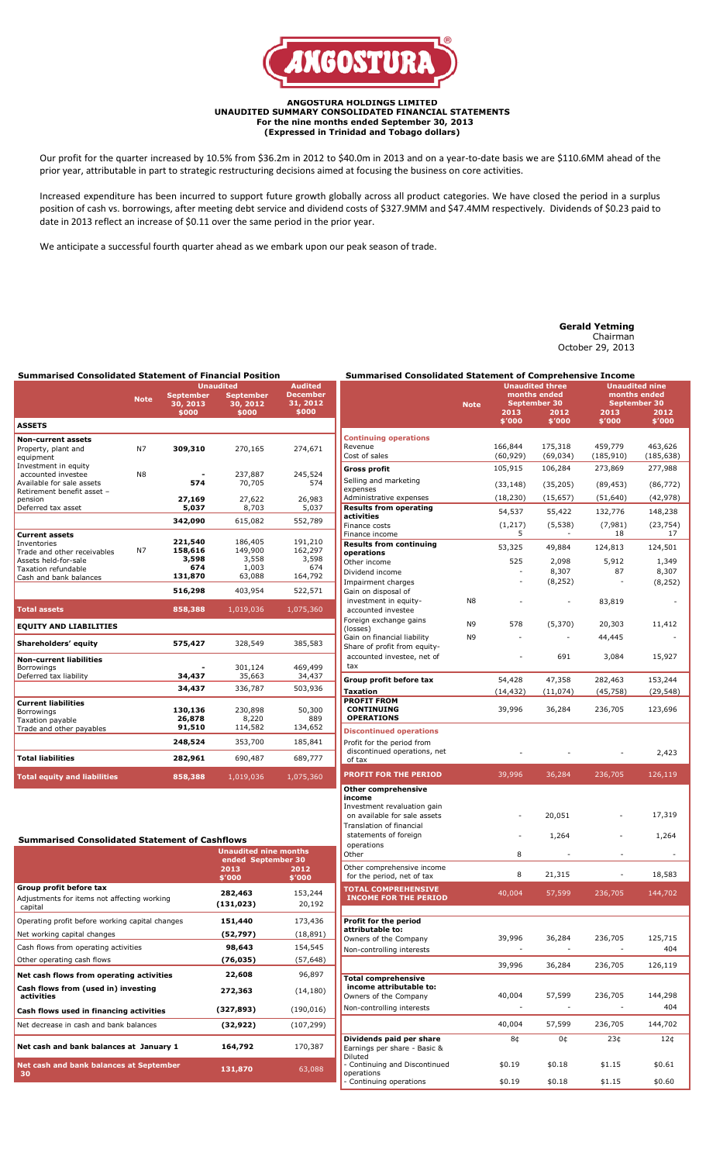

## **ANGOSTURA HOLDINGS LIMITED UNAUDITED SUMMARY CONSOLIDATED FINANCIAL STATEMENTS For the nine months ended September 30, 2013 (Expressed in Trinidad and Tobago dollars)**

Our profit for the quarter increased by 10.5% from \$36.2m in 2012 to \$40.0m in 2013 and on a year-to-date basis we are \$110.6MM ahead of the prior year, attributable in part to strategic restructuring decisions aimed at focusing the business on core activities.

Increased expenditure has been incurred to support future growth globally across all product categories. We have closed the period in a surplus position of cash vs. borrowings, after meeting debt service and dividend costs of \$327.9MM and \$47.4MM respectively. Dividends of \$0.23 paid to date in 2013 reflect an increase of \$0.11 over the same period in the prior year.

We anticipate a successful fourth quarter ahead as we embark upon our peak season of trade.

# **Gerald Yetming**

Chairman October 29, 2013

|                                                                                                                                              |             | <b>Summarised Consolidated Statement of Financial Position</b><br><b>Audited</b><br><b>Unaudited</b> |                                                |                                               |  |  |  |
|----------------------------------------------------------------------------------------------------------------------------------------------|-------------|------------------------------------------------------------------------------------------------------|------------------------------------------------|-----------------------------------------------|--|--|--|
|                                                                                                                                              | <b>Note</b> | <b>September</b><br>30, 2013<br>\$000                                                                | <b>September</b><br>30, 2012<br>\$000          | <b>December</b><br>31, 2012<br>\$000          |  |  |  |
| <b>ASSETS</b>                                                                                                                                |             |                                                                                                      |                                                |                                               |  |  |  |
| <b>Non-current assets</b>                                                                                                                    |             |                                                                                                      |                                                |                                               |  |  |  |
| Property, plant and<br>equipment<br>Investment in equity                                                                                     | N7          | 309,310                                                                                              | 270,165                                        | 274,671                                       |  |  |  |
| accounted investee<br>Available for sale assets<br>Retirement benefit asset -                                                                | N8          | 574                                                                                                  | 237,887<br>70,705                              | 245,524<br>574                                |  |  |  |
| pension                                                                                                                                      |             | 27,169                                                                                               | 27,622                                         | 26,983                                        |  |  |  |
| Deferred tax asset                                                                                                                           |             | 5,037                                                                                                | 8,703                                          | 5,037                                         |  |  |  |
|                                                                                                                                              |             | 342,090                                                                                              | 615,082                                        | 552,789                                       |  |  |  |
| <b>Current assets</b><br>Inventories<br>Trade and other receivables<br>Assets held-for-sale<br>Taxation refundable<br>Cash and bank balances | N7          | 221,540<br>158,616<br>3,598<br>674<br>131,870                                                        | 186,405<br>149,900<br>3,558<br>1,003<br>63,088 | 191,210<br>162,297<br>3,598<br>674<br>164,792 |  |  |  |
|                                                                                                                                              |             | 516,298                                                                                              | 403,954                                        | 522,571                                       |  |  |  |
| <b>Total assets</b>                                                                                                                          |             | 858,388                                                                                              | 1,019,036                                      | 1,075,360                                     |  |  |  |
| <b>EQUITY AND LIABILITIES</b>                                                                                                                |             |                                                                                                      |                                                |                                               |  |  |  |
| Shareholders' equity                                                                                                                         |             | 575,427                                                                                              | 328,549                                        | 385,583                                       |  |  |  |
| <b>Non-current liabilities</b><br><b>Borrowings</b><br>Deferred tax liability                                                                |             | 34,437                                                                                               | 301,124<br>35,663                              | 469,499<br>34,437                             |  |  |  |
|                                                                                                                                              |             | 34,437                                                                                               | 336,787                                        | 503,936                                       |  |  |  |
| <b>Current liabilities</b><br>Borrowings<br><b>Taxation payable</b><br>Trade and other payables                                              |             | 130,136<br>26,878<br>91,510                                                                          | 230,898<br>8,220<br>114,582                    | 50,300<br>889<br>134,652                      |  |  |  |

**Total liabilities 282,961** 690,487 689,777 **Total equity and liabilities 858,388** 1,019,036 1,075,360

**248,524** 353,700 185,841

|                                                          | Note           | <u>Una</u> udited three<br>months ended<br>September 30<br>2013<br>2012 |                |                | <b>Unaudited nine</b><br>months ended<br>September 30 |
|----------------------------------------------------------|----------------|-------------------------------------------------------------------------|----------------|----------------|-------------------------------------------------------|
|                                                          |                | \$'000                                                                  | \$'000         | 2013<br>\$′000 | 2012<br>\$'000                                        |
| <b>Continuing operations</b>                             |                |                                                                         |                |                |                                                       |
| Revenue                                                  |                | 166,844                                                                 | 175,318        | 459,779        | 463,626                                               |
| Cost of sales                                            |                | (60, 929)                                                               | (69, 034)      | (185, 910)     | (185, 638)                                            |
| Gross profit                                             |                | 105,915                                                                 | 106,284        | 273,869        | 277,988                                               |
| Selling and marketing<br>expenses                        |                | (33, 148)                                                               | (35, 205)      | (89, 453)      | (86, 772)                                             |
| Administrative expenses                                  |                | (18, 230)                                                               | (15, 657)      | (51, 640)      | (42, 978)                                             |
| <b>Results from operating</b><br>activities              |                | 54,537                                                                  | 55,422         | 132,776        | 148,238                                               |
| Finance costs<br>Finance income                          |                | (1,217)<br>5                                                            | (5, 538)       | (7,981)<br>18  | (23, 754)<br>17                                       |
| <b>Results from continuing</b>                           |                | 53,325                                                                  | 49,884         | 124,813        |                                                       |
| operations                                               |                | 525                                                                     |                |                | 124,501                                               |
| Other income<br>Dividend income                          |                |                                                                         | 2,098<br>8,307 | 5,912<br>87    | 1,349<br>8,307                                        |
| Impairment charges                                       |                |                                                                         | (8,252)        |                | (8, 252)                                              |
| Gain on disposal of                                      |                |                                                                         |                |                |                                                       |
| investment in equity-<br>accounted investee              | N8             |                                                                         |                | 83,819         |                                                       |
| Foreign exchange gains                                   | N <sub>9</sub> | 578                                                                     | (5,370)        | 20,303         | 11,412                                                |
| (losses)<br>Gain on financial liability                  | N9             |                                                                         |                | 44,445         |                                                       |
| Share of profit from equity-                             |                |                                                                         |                |                |                                                       |
| accounted investee, net of<br>tax                        |                |                                                                         | 691            | 3,084          | 15,927                                                |
| Group profit before tax                                  |                | 54,428                                                                  | 47,358         | 282,463        | 153,244                                               |
| <b>Taxation</b>                                          |                | (14, 432)                                                               | (11, 074)      | (45, 758)      | (29, 548)                                             |
| <b>PROFIT FROM</b>                                       |                |                                                                         |                |                |                                                       |
| <b>CONTINUING</b><br><b>OPERATIONS</b>                   |                | 39,996                                                                  | 36,284         | 236,705        | 123,696                                               |
| <b>Discontinued operations</b>                           |                |                                                                         |                |                |                                                       |
| Profit for the period from                               |                |                                                                         |                |                |                                                       |
| discontinued operations, net<br>of tax                   |                |                                                                         |                |                | 2,423                                                 |
| <b>PROFIT FOR THE PERIOD</b>                             |                | 39,996                                                                  | 36,284         | 236,705        | 126,119                                               |
| <b>Other comprehensive</b>                               |                |                                                                         |                |                |                                                       |
| income<br>Investment revaluation gain                    |                |                                                                         |                |                |                                                       |
| on available for sale assets                             |                |                                                                         | 20,051         |                | 17,319                                                |
| Translation of financial                                 |                |                                                                         |                |                |                                                       |
| statements of foreign<br>operations                      |                |                                                                         | 1,264          |                | 1,264                                                 |
| Other                                                    |                | 8                                                                       |                |                |                                                       |
| Other comprehensive income<br>for the period, net of tax |                | 8                                                                       | 21,315         |                | 18,583                                                |
| <b>TOTAL COMPREHENSIVE</b>                               |                |                                                                         |                |                |                                                       |
| <b>INCOME FOR THE PERIOD</b>                             |                | 40,004                                                                  | 57,599         | 236,705        | 144,702                                               |
|                                                          |                |                                                                         |                |                |                                                       |
| Profit for the period<br>attributable to:                |                |                                                                         |                |                |                                                       |
| Owners of the Company                                    |                | 39,996                                                                  | 36,284         | 236,705        | 125,715                                               |
| Non-controlling interests                                |                |                                                                         |                |                | 404                                                   |
|                                                          |                | 39,996                                                                  | 36,284         | 236,705        | 126,119                                               |
| <b>Total comprehensive</b>                               |                |                                                                         |                |                |                                                       |
| income attributable to:<br>Owners of the Company         |                | 40,004                                                                  | 57,599         | 236,705        | 144,298                                               |
| Non-controlling interests                                |                |                                                                         |                |                | 404                                                   |
|                                                          |                | 40,004                                                                  | 57,599         | 236,705        | 144,702                                               |
| Dividends paid per share                                 |                | 8¢                                                                      | 0¢             | 23¢            | 12¢                                                   |
| Earnings per share - Basic &<br>Diluted                  |                |                                                                         |                |                |                                                       |
| - Continuing and Discontinued                            |                | \$0.19                                                                  | \$0.18         | \$1.15         | \$0.61                                                |
| operations<br>- Continuing operations                    |                | \$0.19                                                                  | \$0.18         | \$1.15         | \$0.60                                                |

**Summarised Consolidated Statement of Comprehensive Income** 

| <b>Summarised Consolidated Statement of Cashflows</b>  |                                                                      |                |  |  |  |
|--------------------------------------------------------|----------------------------------------------------------------------|----------------|--|--|--|
|                                                        | <b>Unaudited nine months</b><br>ended September 30<br>2013<br>\$′000 | 2012<br>\$'000 |  |  |  |
| Group profit before tax                                | 282,463                                                              | 153,244        |  |  |  |
| Adjustments for items not affecting working<br>capital | (131, 023)                                                           | 20,192         |  |  |  |
| Operating profit before working capital changes        | 151,440                                                              | 173,436        |  |  |  |
| Net working capital changes                            | (52,797)                                                             | (18, 891)      |  |  |  |
| Cash flows from operating activities                   | 98,643                                                               | 154,545        |  |  |  |
| Other operating cash flows                             | (76,035)                                                             | (57, 648)      |  |  |  |
| Net cash flows from operating activities               | 22,608                                                               | 96,897         |  |  |  |
| Cash flows from (used in) investing<br>activities      | 272,363                                                              | (14, 180)      |  |  |  |
| Cash flows used in financing activities                | (327, 893)                                                           | (190, 016)     |  |  |  |
| Net decrease in cash and bank balances                 | (32,922)                                                             | (107, 299)     |  |  |  |
| Net cash and bank balances at January 1                | 164,792                                                              | 170,387        |  |  |  |
| Net cash and bank balances at September<br>30          | 131,870                                                              | 63,088         |  |  |  |